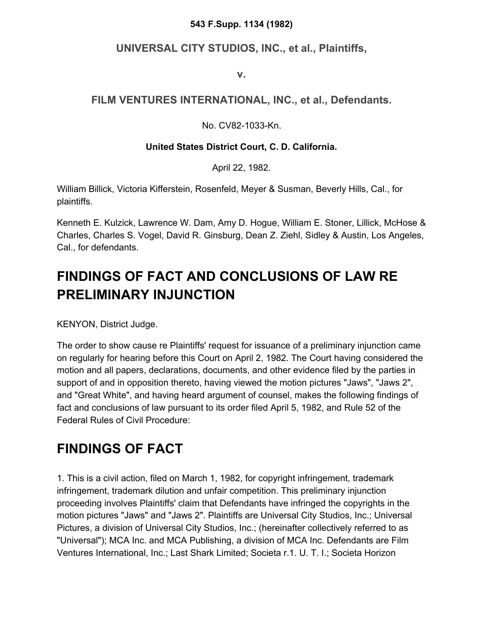#### **543 F.Supp. 1134 (1982)**

### **UNIVERSAL CITY STUDIOS, INC., et al., Plaintiffs,**

**v.**

### **FILM VENTURES INTERNATIONAL, INC., et al., Defendants.**

No. CV82-1033-Kn.

### **United States District Court, C. D. California.**

April 22, 1982.

William Billick, Victoria Kifferstein, Rosenfeld, Meyer & Susman, Beverly Hills, Cal., for plaintiffs.

Kenneth E. Kulzick, Lawrence W. Dam, Amy D. Hogue, William E. Stoner, Lillick, McHose & Charles, Charles S. Vogel, David R. Ginsburg, Dean Z. Ziehl, Sidley & Austin, Los Angeles, Cal., for defendants.

# **FINDINGS OF FACT AND CONCLUSIONS OF LAW RE PRELIMINARY INJUNCTION**

KENYON, District Judge.

The order to show cause re Plaintiffs' request for issuance of a preliminary injunction came on regularly for hearing before this Court on April 2, 1982. The Court having considered the motion and all papers, declarations, documents, and other evidence filed by the parties in support of and in opposition thereto, having viewed the motion pictures "Jaws", "Jaws 2", and "Great White", and having heard argument of counsel, makes the following findings of fact and conclusions of law pursuant to its order filed April 5, 1982, and Rule 52 of the Federal Rules of Civil Procedure:

# **FINDINGS OF FACT**

1. This is a civil action, filed on March 1, 1982, for copyright infringement, trademark infringement, trademark dilution and unfair competition. This preliminary injunction proceeding involves Plaintiffs' claim that Defendants have infringed the copyrights in the motion pictures "Jaws" and "Jaws 2". Plaintiffs are Universal City Studios, Inc.; Universal Pictures, a division of Universal City Studios, Inc.; (hereinafter collectively referred to as "Universal"); MCA Inc. and MCA Publishing, a division of MCA Inc. Defendants are Film Ventures International, Inc.; Last Shark Limited; Societa r.1. U. T. I.; Societa Horizon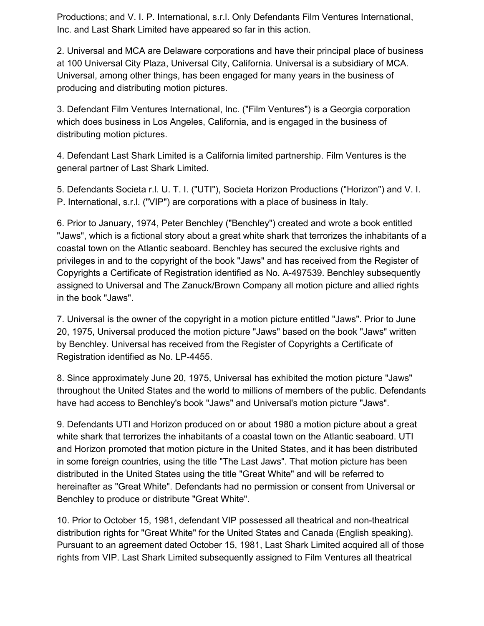Productions; and V. I. P. International, s.r.l. Only Defendants Film Ventures International, Inc. and Last Shark Limited have appeared so far in this action.

2. Universal and MCA are Delaware corporations and have their principal place of business at 100 Universal City Plaza, Universal City, California. Universal is a subsidiary of MCA. Universal, among other things, has been engaged for many years in the business of producing and distributing motion pictures.

3. Defendant Film Ventures International, Inc. ("Film Ventures") is a Georgia corporation which does business in Los Angeles, California, and is engaged in the business of distributing motion pictures.

4. Defendant Last Shark Limited is a California limited partnership. Film Ventures is the general partner of Last Shark Limited.

5. Defendants Societa r.l. U. T. I. ("UTI"), Societa Horizon Productions ("Horizon") and V. I. P. International, s.r.l. ("VIP") are corporations with a place of business in Italy.

6. Prior to January, 1974, Peter Benchley ("Benchley") created and wrote a book entitled "Jaws", which is a fictional story about a great white shark that terrorizes the inhabitants of a coastal town on the Atlantic seaboard. Benchley has secured the exclusive rights and privileges in and to the copyright of the book "Jaws" and has received from the Register of Copyrights a Certificate of Registration identified as No. A-497539. Benchley subsequently assigned to Universal and The Zanuck/Brown Company all motion picture and allied rights in the book "Jaws".

7. Universal is the owner of the copyright in a motion picture entitled "Jaws". Prior to June 20, 1975, Universal produced the motion picture "Jaws" based on the book "Jaws" written by Benchley. Universal has received from the Register of Copyrights a Certificate of Registration identified as No. LP-4455.

8. Since approximately June 20, 1975, Universal has exhibited the motion picture "Jaws" throughout the United States and the world to millions of members of the public. Defendants have had access to Benchley's book "Jaws" and Universal's motion picture "Jaws".

9. Defendants UTI and Horizon produced on or about 1980 a motion picture about a great white shark that terrorizes the inhabitants of a coastal town on the Atlantic seaboard. UTI and Horizon promoted that motion picture in the United States, and it has been distributed in some foreign countries, using the title "The Last Jaws". That motion picture has been distributed in the United States using the title "Great White" and will be referred to hereinafter as "Great White". Defendants had no permission or consent from Universal or Benchley to produce or distribute "Great White".

10. Prior to October 15, 1981, defendant VIP possessed all theatrical and non-theatrical distribution rights for "Great White" for the United States and Canada (English speaking). Pursuant to an agreement dated October 15, 1981, Last Shark Limited acquired all of those rights from VIP. Last Shark Limited subsequently assigned to Film Ventures all theatrical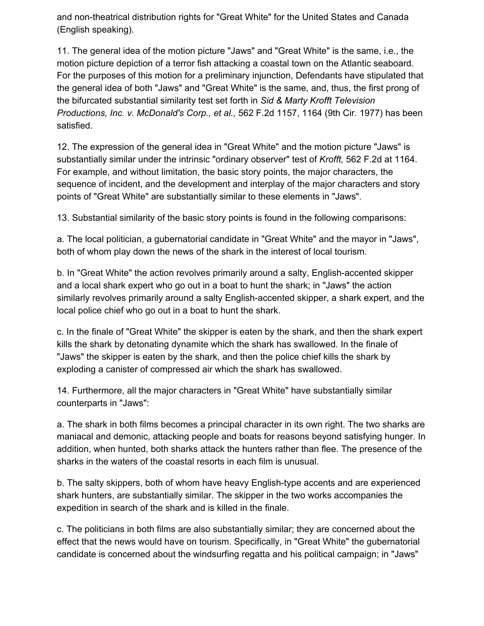and non-theatrical distribution rights for "Great White" for the United States and Canada (English speaking).

11. The general idea of the motion picture "Jaws" and "Great White" is the same, i.e., the motion picture depiction of a terror fish attacking a coastal town on the Atlantic seaboard. For the purposes of this motion for a preliminary injunction, Defendants have stipulated that the general idea of both "Jaws" and "Great White" is the same, and, thus, the first prong of the bifurcated substantial similarity test set forth in *Sid & Marty Krofft Television Productions, Inc. v. McDonald's Corp., et al.,* 562 F.2d 1157, 1164 (9th Cir. 1977) has been satisfied.

12. The expression of the general idea in "Great White" and the motion picture "Jaws" is substantially similar under the intrinsic "ordinary observer" test of *Krofft,* 562 F.2d at 1164. For example, and without limitation, the basic story points, the major characters, the sequence of incident, and the development and interplay of the major characters and story points of "Great White" are substantially similar to these elements in "Jaws".

13. Substantial similarity of the basic story points is found in the following comparisons:

a. The local politician, a gubernatorial candidate in "Great White" and the mayor in "Jaws", both of whom play down the news of the shark in the interest of local tourism.

b. In "Great White" the action revolves primarily around a salty, English-accented skipper and a local shark expert who go out in a boat to hunt the shark; in "Jaws" the action similarly revolves primarily around a salty English-accented skipper, a shark expert, and the local police chief who go out in a boat to hunt the shark.

c. In the finale of "Great White" the skipper is eaten by the shark, and then the shark expert kills the shark by detonating dynamite which the shark has swallowed. In the finale of "Jaws" the skipper is eaten by the shark, and then the police chief kills the shark by exploding a canister of compressed air which the shark has swallowed.

14. Furthermore, all the major characters in "Great White" have substantially similar counterparts in "Jaws":

a. The shark in both films becomes a principal character in its own right. The two sharks are maniacal and demonic, attacking people and boats for reasons beyond satisfying hunger. In addition, when hunted, both sharks attack the hunters rather than flee. The presence of the sharks in the waters of the coastal resorts in each film is unusual.

b. The salty skippers, both of whom have heavy English-type accents and are experienced shark hunters, are substantially similar. The skipper in the two works accompanies the expedition in search of the shark and is killed in the finale.

c. The politicians in both films are also substantially similar; they are concerned about the effect that the news would have on tourism. Specifically, in "Great White" the gubernatorial candidate is concerned about the windsurfing regatta and his political campaign; in "Jaws"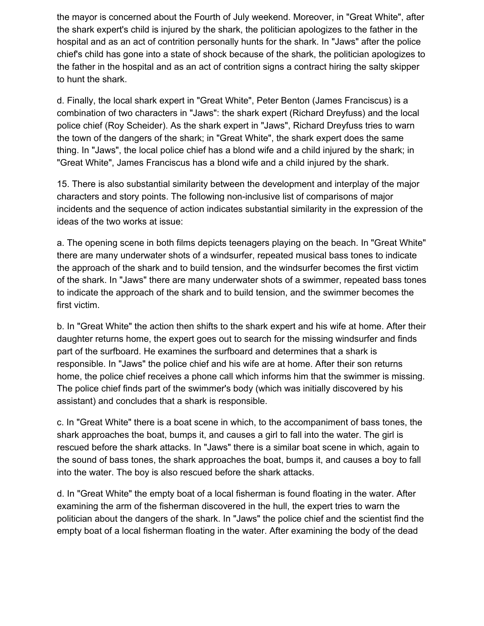the mayor is concerned about the Fourth of July weekend. Moreover, in "Great White", after the shark expert's child is injured by the shark, the politician apologizes to the father in the hospital and as an act of contrition personally hunts for the shark. In "Jaws" after the police chief's child has gone into a state of shock because of the shark, the politician apologizes to the father in the hospital and as an act of contrition signs a contract hiring the salty skipper to hunt the shark.

d. Finally, the local shark expert in "Great White", Peter Benton (James Franciscus) is a combination of two characters in "Jaws": the shark expert (Richard Dreyfuss) and the local police chief (Roy Scheider). As the shark expert in "Jaws", Richard Dreyfuss tries to warn the town of the dangers of the shark; in "Great White", the shark expert does the same thing. In "Jaws", the local police chief has a blond wife and a child injured by the shark; in "Great White", James Franciscus has a blond wife and a child injured by the shark.

15. There is also substantial similarity between the development and interplay of the major characters and story points. The following non-inclusive list of comparisons of major incidents and the sequence of action indicates substantial similarity in the expression of the ideas of the two works at issue:

a. The opening scene in both films depicts teenagers playing on the beach. In "Great White" there are many underwater shots of a windsurfer, repeated musical bass tones to indicate the approach of the shark and to build tension, and the windsurfer becomes the first victim of the shark. In "Jaws" there are many underwater shots of a swimmer, repeated bass tones to indicate the approach of the shark and to build tension, and the swimmer becomes the first victim.

b. In "Great White" the action then shifts to the shark expert and his wife at home. After their daughter returns home, the expert goes out to search for the missing windsurfer and finds part of the surfboard. He examines the surfboard and determines that a shark is responsible. In "Jaws" the police chief and his wife are at home. After their son returns home, the police chief receives a phone call which informs him that the swimmer is missing. The police chief finds part of the swimmer's body (which was initially discovered by his assistant) and concludes that a shark is responsible.

c. In "Great White" there is a boat scene in which, to the accompaniment of bass tones, the shark approaches the boat, bumps it, and causes a girl to fall into the water. The girl is rescued before the shark attacks. In "Jaws" there is a similar boat scene in which, again to the sound of bass tones, the shark approaches the boat, bumps it, and causes a boy to fall into the water. The boy is also rescued before the shark attacks.

d. In "Great White" the empty boat of a local fisherman is found floating in the water. After examining the arm of the fisherman discovered in the hull, the expert tries to warn the politician about the dangers of the shark. In "Jaws" the police chief and the scientist find the empty boat of a local fisherman floating in the water. After examining the body of the dead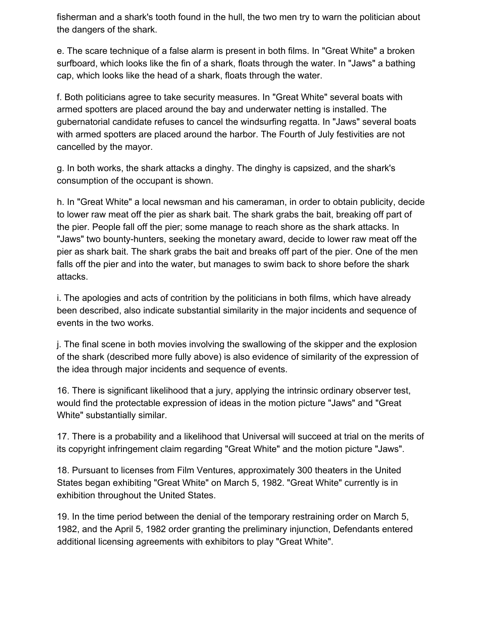fisherman and a shark's tooth found in the hull, the two men try to warn the politician about the dangers of the shark.

e. The scare technique of a false alarm is present in both films. In "Great White" a broken surfboard, which looks like the fin of a shark, floats through the water. In "Jaws" a bathing cap, which looks like the head of a shark, floats through the water.

f. Both politicians agree to take security measures. In "Great White" several boats with armed spotters are placed around the bay and underwater netting is installed. The gubernatorial candidate refuses to cancel the windsurfing regatta. In "Jaws" several boats with armed spotters are placed around the harbor. The Fourth of July festivities are not cancelled by the mayor.

g. In both works, the shark attacks a dinghy. The dinghy is capsized, and the shark's consumption of the occupant is shown.

h. In "Great White" a local newsman and his cameraman, in order to obtain publicity, decide to lower raw meat off the pier as shark bait. The shark grabs the bait, breaking off part of the pier. People fall off the pier; some manage to reach shore as the shark attacks. In "Jaws" two bounty-hunters, seeking the monetary award, decide to lower raw meat off the pier as shark bait. The shark grabs the bait and breaks off part of the pier. One of the men falls off the pier and into the water, but manages to swim back to shore before the shark attacks.

i. The apologies and acts of contrition by the politicians in both films, which have already been described, also indicate substantial similarity in the major incidents and sequence of events in the two works.

j. The final scene in both movies involving the swallowing of the skipper and the explosion of the shark (described more fully above) is also evidence of similarity of the expression of the idea through major incidents and sequence of events.

16. There is significant likelihood that a jury, applying the intrinsic ordinary observer test, would find the protectable expression of ideas in the motion picture "Jaws" and "Great White" substantially similar.

17. There is a probability and a likelihood that Universal will succeed at trial on the merits of its copyright infringement claim regarding "Great White" and the motion picture "Jaws".

18. Pursuant to licenses from Film Ventures, approximately 300 theaters in the United States began exhibiting "Great White" on March 5, 1982. "Great White" currently is in exhibition throughout the United States.

19. In the time period between the denial of the temporary restraining order on March 5, 1982, and the April 5, 1982 order granting the preliminary injunction, Defendants entered additional licensing agreements with exhibitors to play "Great White".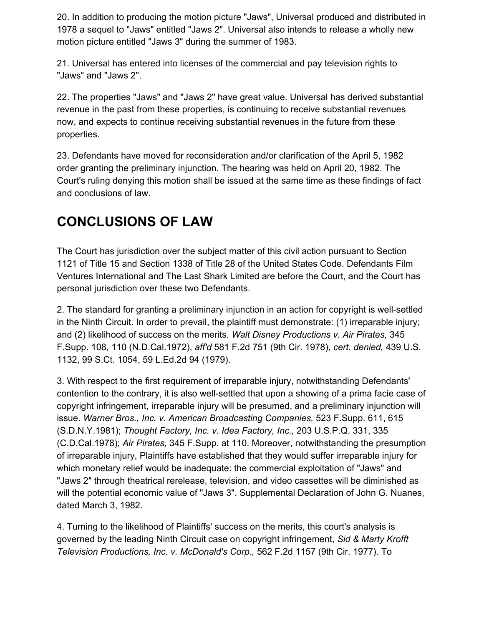20. In addition to producing the motion picture "Jaws", Universal produced and distributed in 1978 a sequel to "Jaws" entitled "Jaws 2". Universal also intends to release a wholly new motion picture entitled "Jaws 3" during the summer of 1983.

21. Universal has entered into licenses of the commercial and pay television rights to "Jaws" and "Jaws 2".

22. The properties "Jaws" and "Jaws 2" have great value. Universal has derived substantial revenue in the past from these properties, is continuing to receive substantial revenues now, and expects to continue receiving substantial revenues in the future from these properties.

23. Defendants have moved for reconsideration and/or clarification of the April 5, 1982 order granting the preliminary injunction. The hearing was held on April 20, 1982. The Court's ruling denying this motion shall be issued at the same time as these findings of fact and conclusions of law.

## **CONCLUSIONS OF LAW**

The Court has jurisdiction over the subject matter of this civil action pursuant to Section 1121 of Title 15 and Section 1338 of Title 28 of the United States Code. Defendants Film Ventures International and The Last Shark Limited are before the Court, and the Court has personal jurisdiction over these two Defendants.

2. The standard for granting a preliminary injunction in an action for copyright is well-settled in the Ninth Circuit. In order to prevail, the plaintiff must demonstrate: (1) irreparable injury; and (2) likelihood of success on the merits. *Walt Disney Productions v. Air Pirates,* 345 F.Supp. 108, 110 (N.D.Cal.1972), *aff'd* 581 F.2d 751 (9th Cir. 1978), *cert. denied,* 439 U.S. 1132, 99 S.Ct. 1054, 59 L.Ed.2d 94 (1979).

3. With respect to the first requirement of irreparable injury, notwithstanding Defendants' contention to the contrary, it is also well-settled that upon a showing of a prima facie case of copyright infringement, irreparable injury will be presumed, and a preliminary injunction will issue. *Warner Bros., Inc. v. American Broadcasting Companies,* 523 F.Supp. 611, 615 (S.D.N.Y.1981); *Thought Factory, Inc. v. Idea Factory, Inc.,* 203 U.S.P.Q. 331, 335 (C.D.Cal.1978); *Air Pirates,* 345 F.Supp. at 110. Moreover, notwithstanding the presumption of irreparable injury, Plaintiffs have established that they would suffer irreparable injury for which monetary relief would be inadequate: the commercial exploitation of "Jaws" and "Jaws 2" through theatrical rerelease, television, and video cassettes will be diminished as will the potential economic value of "Jaws 3". Supplemental Declaration of John G. Nuanes, dated March 3, 1982.

4. Turning to the likelihood of Plaintiffs' success on the merits, this court's analysis is governed by the leading Ninth Circuit case on copyright infringement, *Sid & Marty Krofft Television Productions, Inc. v. McDonald's Corp.,* 562 F.2d 1157 (9th Cir. 1977). To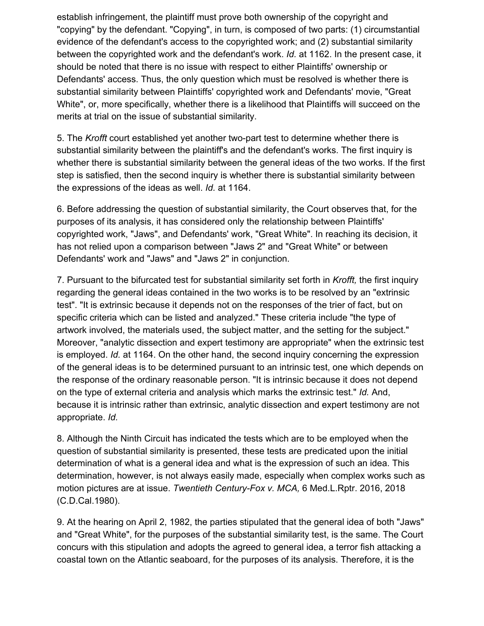establish infringement, the plaintiff must prove both ownership of the copyright and "copying" by the defendant. "Copying", in turn, is composed of two parts: (1) circumstantial evidence of the defendant's access to the copyrighted work; and (2) substantial similarity between the copyrighted work and the defendant's work. *Id.* at 1162. In the present case, it should be noted that there is no issue with respect to either Plaintiffs' ownership or Defendants' access. Thus, the only question which must be resolved is whether there is substantial similarity between Plaintiffs' copyrighted work and Defendants' movie, "Great White", or, more specifically, whether there is a likelihood that Plaintiffs will succeed on the merits at trial on the issue of substantial similarity.

5. The *Krofft* court established yet another two-part test to determine whether there is substantial similarity between the plaintiff's and the defendant's works. The first inquiry is whether there is substantial similarity between the general ideas of the two works. If the first step is satisfied, then the second inquiry is whether there is substantial similarity between the expressions of the ideas as well. *Id.* at 1164.

6. Before addressing the question of substantial similarity, the Court observes that, for the purposes of its analysis, it has considered only the relationship between Plaintiffs' copyrighted work, "Jaws", and Defendants' work, "Great White". In reaching its decision, it has not relied upon a comparison between "Jaws 2" and "Great White" or between Defendants' work and "Jaws" and "Jaws 2" in conjunction.

7. Pursuant to the bifurcated test for substantial similarity set forth in *Krofft,* the first inquiry regarding the general ideas contained in the two works is to be resolved by an "extrinsic test". "It is extrinsic because it depends not on the responses of the trier of fact, but on specific criteria which can be listed and analyzed." These criteria include "the type of artwork involved, the materials used, the subject matter, and the setting for the subject." Moreover, "analytic dissection and expert testimony are appropriate" when the extrinsic test is employed. *Id.* at 1164. On the other hand, the second inquiry concerning the expression of the general ideas is to be determined pursuant to an intrinsic test, one which depends on the response of the ordinary reasonable person. "It is intrinsic because it does not depend on the type of external criteria and analysis which marks the extrinsic test." *Id.* And, because it is intrinsic rather than extrinsic, analytic dissection and expert testimony are not appropriate. *Id.*

8. Although the Ninth Circuit has indicated the tests which are to be employed when the question of substantial similarity is presented, these tests are predicated upon the initial determination of what is a general idea and what is the expression of such an idea. This determination, however, is not always easily made, especially when complex works such as motion pictures are at issue. *Twentieth Century-Fox v. MCA,* 6 Med.L.Rptr. 2016, 2018 (C.D.Cal.1980).

9. At the hearing on April 2, 1982, the parties stipulated that the general idea of both "Jaws" and "Great White", for the purposes of the substantial similarity test, is the same. The Court concurs with this stipulation and adopts the agreed to general idea, a terror fish attacking a coastal town on the Atlantic seaboard, for the purposes of its analysis. Therefore, it is the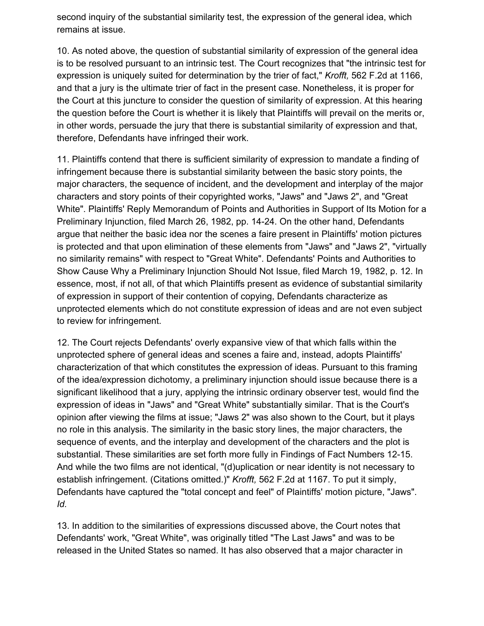second inquiry of the substantial similarity test, the expression of the general idea, which remains at issue.

10. As noted above, the question of substantial similarity of expression of the general idea is to be resolved pursuant to an intrinsic test. The Court recognizes that "the intrinsic test for expression is uniquely suited for determination by the trier of fact," *Krofft,* 562 F.2d at 1166, and that a jury is the ultimate trier of fact in the present case. Nonetheless, it is proper for the Court at this juncture to consider the question of similarity of expression. At this hearing the question before the Court is whether it is likely that Plaintiffs will prevail on the merits or, in other words, persuade the jury that there is substantial similarity of expression and that, therefore, Defendants have infringed their work.

11. Plaintiffs contend that there is sufficient similarity of expression to mandate a finding of infringement because there is substantial similarity between the basic story points, the major characters, the sequence of incident, and the development and interplay of the major characters and story points of their copyrighted works, "Jaws" and "Jaws 2", and "Great White". Plaintiffs' Reply Memorandum of Points and Authorities in Support of Its Motion for a Preliminary Injunction, filed March 26, 1982, pp. 14-24. On the other hand, Defendants argue that neither the basic idea nor the scenes a faire present in Plaintiffs' motion pictures is protected and that upon elimination of these elements from "Jaws" and "Jaws 2", "virtually no similarity remains" with respect to "Great White". Defendants' Points and Authorities to Show Cause Why a Preliminary Injunction Should Not Issue, filed March 19, 1982, p. 12. In essence, most, if not all, of that which Plaintiffs present as evidence of substantial similarity of expression in support of their contention of copying, Defendants characterize as unprotected elements which do not constitute expression of ideas and are not even subject to review for infringement.

12. The Court rejects Defendants' overly expansive view of that which falls within the unprotected sphere of general ideas and scenes a faire and, instead, adopts Plaintiffs' characterization of that which constitutes the expression of ideas. Pursuant to this framing of the idea/expression dichotomy, a preliminary injunction should issue because there is a significant likelihood that a jury, applying the intrinsic ordinary observer test, would find the expression of ideas in "Jaws" and "Great White" substantially similar. That is the Court's opinion after viewing the films at issue; "Jaws 2" was also shown to the Court, but it plays no role in this analysis. The similarity in the basic story lines, the major characters, the sequence of events, and the interplay and development of the characters and the plot is substantial. These similarities are set forth more fully in Findings of Fact Numbers 12-15. And while the two films are not identical, "(d)uplication or near identity is not necessary to establish infringement. (Citations omitted.)" *Krofft,* 562 F.2d at 1167. To put it simply, Defendants have captured the "total concept and feel" of Plaintiffs' motion picture, "Jaws". *Id.*

13. In addition to the similarities of expressions discussed above, the Court notes that Defendants' work, "Great White", was originally titled "The Last Jaws" and was to be released in the United States so named. It has also observed that a major character in